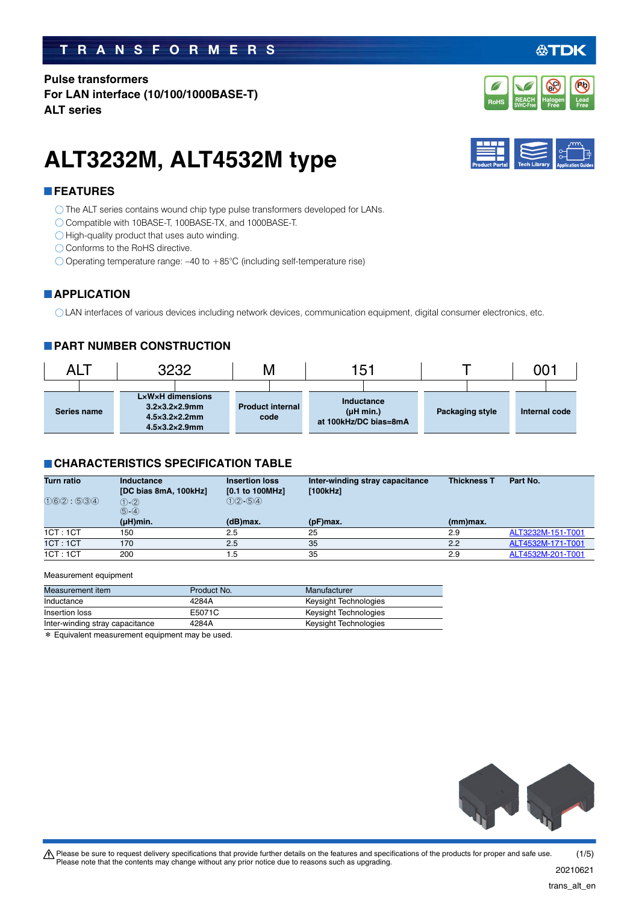### **TRANSFORMERS**

**Pulse transformers For LAN interface (10/100/1000BASE-T) ALT series**

# **ALT3232M, ALT4532M type**

### **FEATURES**

O The ALT series contains wound chip type pulse transformers developed for LANs.

- Compatible with 10BASE-T, 100BASE-TX, and 1000BASE-T.
- $\bigcirc$  High-quality product that uses auto winding.
- Conforms to the RoHS directive.
- $\bigcirc$  Operating temperature range: -40 to +85°C (including self-temperature rise)

#### **APPLICATION**

LAN interfaces of various devices including network devices, communication equipment, digital consumer electronics, etc.

#### **PART NUMBER CONSTRUCTION**

| ALT         | 3232                                                                                                       | V.                              | 151                                              |                 | 001           |
|-------------|------------------------------------------------------------------------------------------------------------|---------------------------------|--------------------------------------------------|-----------------|---------------|
| Series name | LxWxH dimensions<br>$3.2\times3.2\times2.9$ mm<br>$4.5\times3.2\times2.2$ mm<br>$4.5\times3.2\times2.9$ mm | <b>Product internal</b><br>code | Inductance<br>(µH min.)<br>at 100kHz/DC bias=8mA | Packaging style | Internal code |

#### **CHARACTERISTICS SPECIFICATION TABLE**

| <b>Turn ratio</b> | Inductance<br>[DC bias 8mA, 100kHz] | <b>Insertion loss</b><br>$[0.1$ to 100MHz] | Inter-winding stray capacitance<br>[100kHz] | <b>Thickness T</b> | Part No.          |
|-------------------|-------------------------------------|--------------------------------------------|---------------------------------------------|--------------------|-------------------|
| (1)6(2) : 5(3)(4) | $(1) - (2)$<br>$(5)-(4)$            | $(1)(2) - (5)(4)$                          |                                             |                    |                   |
|                   | $(\mu H)$ min.                      | $(d)$ max.                                 | $(pF)$ max.                                 | $(mm)$ max.        |                   |
| 1CT:1CT           | 150                                 | 2.5                                        | 25                                          | 2.9                | ALT3232M-151-T001 |
| 1CT:1CT           | 170                                 | 2.5                                        | 35                                          | 2.2                | ALT4532M-171-T001 |
| 1CT:1CT           | 200                                 | 1.5                                        | 35                                          | 2.9                | ALT4532M-201-T001 |

#### Measurement equipment

| Measurement item                | Product No. | Manufacturer          |
|---------------------------------|-------------|-----------------------|
| Inductance                      | 4284A       | Keysight Technologies |
| Insertion loss                  | E5071C      | Keysight Technologies |
| Inter-winding stray capacitance | 4284A       | Keysight Technologies |

\* Equivalent measurement equipment may be used.







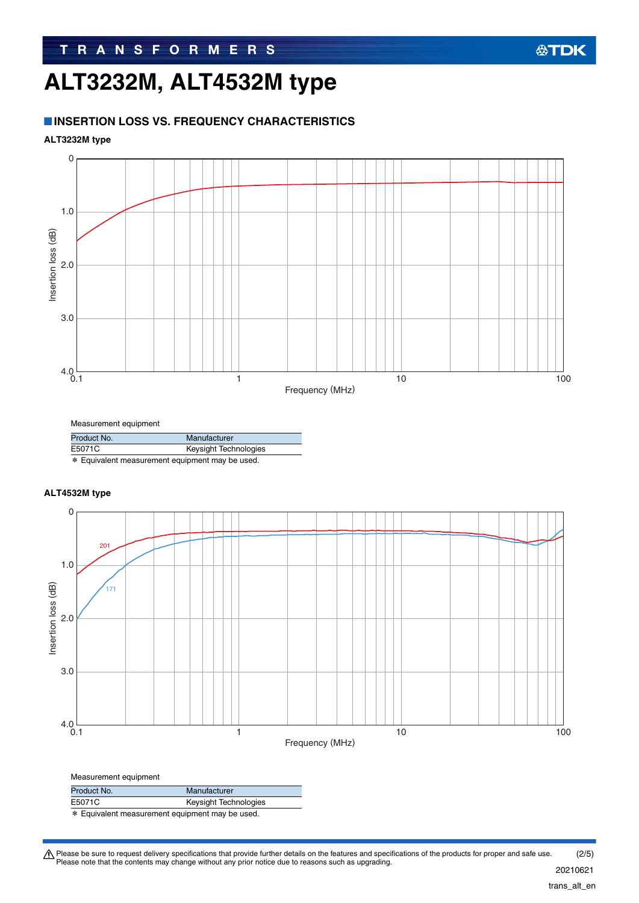## **ALT3232M, ALT4532M type**

#### **INSERTION LOSS VS. FREQUENCY CHARACTERISTICS**

#### **ALT3232M type**



Measurement equipment

| Product No. | Manufacturer          |
|-------------|-----------------------|
| E5071C      | Keysight Technologies |

\* Equivalent measurement equipment may be used.

#### **ALT4532M type**



| Product No. | Manufacturer          |  |
|-------------|-----------------------|--|
| E5071C      | Keysight Technologies |  |
|             |                       |  |

\* Equivalent measurement equipment may be used.

Please be sure to request delivery specifications that provide further details on the features and specifications of the products for proper and safe use.<br>Please note that the contents may change without any prior notice d (2/5)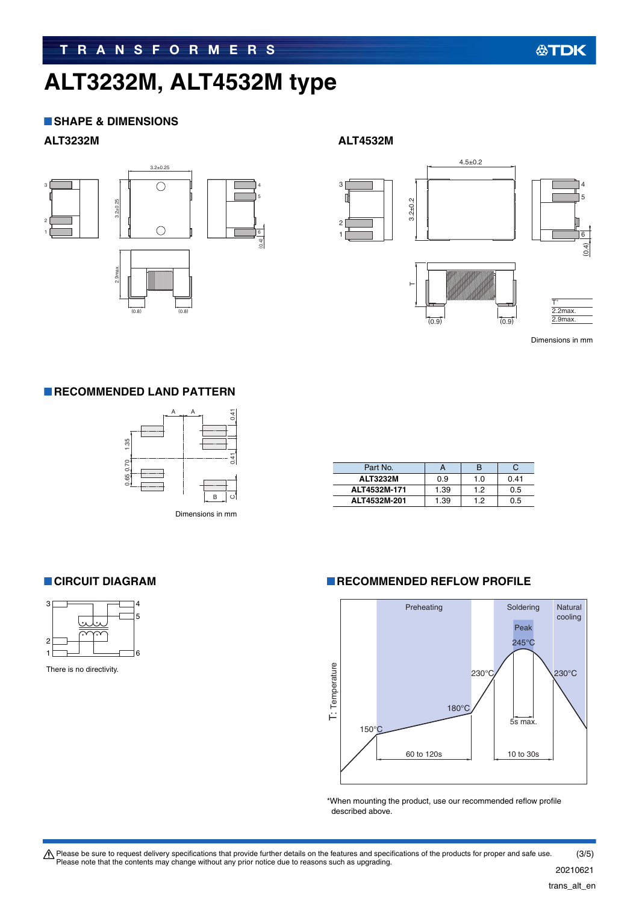# **ALT3232M, ALT4532M type**

#### **SHAPE & DIMENSIONS**

#### **ALT3232M ALT4532M**



3.2±0.2  $4.5 \pm 0.2$ 1 2 3  $\vdash$ T∗



(0.4)

6

5 4

Dimensions in mm

 $(0.9)$ 

#### **RECOMMENDED LAND PATTERN**



Dimensions in mm

| Part No.        |      | Б   |      |
|-----------------|------|-----|------|
| <b>ALT3232M</b> | 0.9  | 1.0 | 0.41 |
| ALT4532M-171    | 1.39 | 12  | 0.5  |
| ALT4532M-201    | 1.39 | 19  | 0.5  |



There is no directivity.

#### **RECOMMENDED REFLOW PROFILE**



\*When mounting the product, use our recommended reflow profile described above.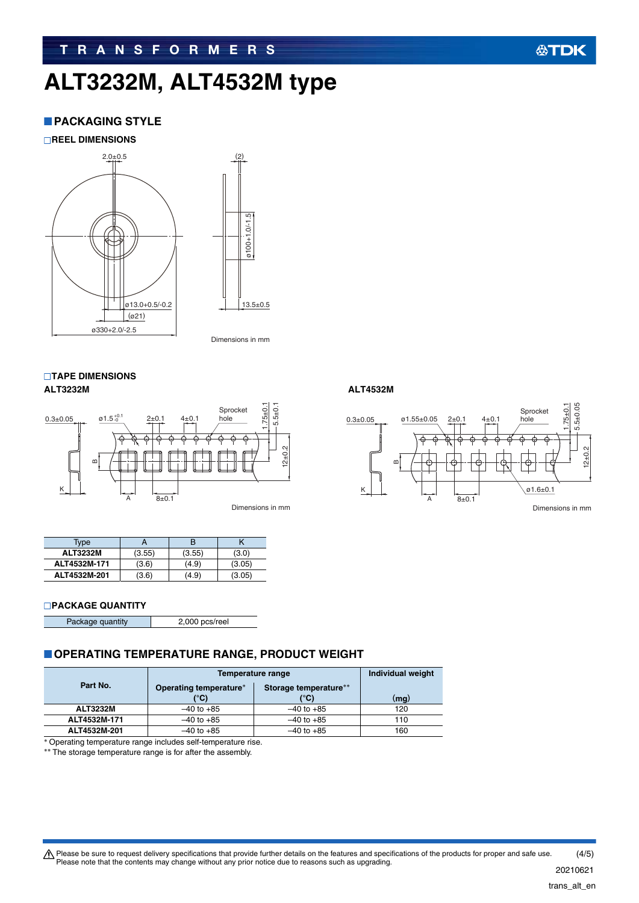# **ALT3232M, ALT4532M type**

#### **PACKAGING STYLE**

**REEL DIMENSIONS**



13.5±0.5

Dimensions in mm

#### **TAPE DIMENSIONS ALT3232M ALT4532M**



Dimensions in mm

| <b>Type</b>     |        |        |        |
|-----------------|--------|--------|--------|
| <b>ALT3232M</b> | (3.55) | (3.55) | (3.0)  |
| ALT4532M-171    | (3.6)  | (4.9)  | (3.05) |
| ALT4532M-201    | (3.6)  | (4.9)  | (3.05) |

#### **PACKAGE QUANTITY**

| Package quantity | 2,000 pcs/reel |
|------------------|----------------|
|                  |                |

#### **OPERATING TEMPERATURE RANGE, PRODUCT WEIGHT**

|                 | Temperature range      | Individual weight     |      |
|-----------------|------------------------|-----------------------|------|
| Part No.        | Operating temperature* | Storage temperature** |      |
|                 | (°C)                   | (°C)                  | (mg) |
| <b>ALT3232M</b> | $-40$ to $+85$         | $-40$ to $+85$        | 120  |
| ALT4532M-171    | $-40$ to $+85$         | $-40$ to $+85$        | 110  |
| ALT4532M-201    | $-40$ to $+85$         | $-40$ to $+85$        | 160  |

Operating temperature range includes self-temperature rise.

\*\* The storage temperature range is for after the assembly.